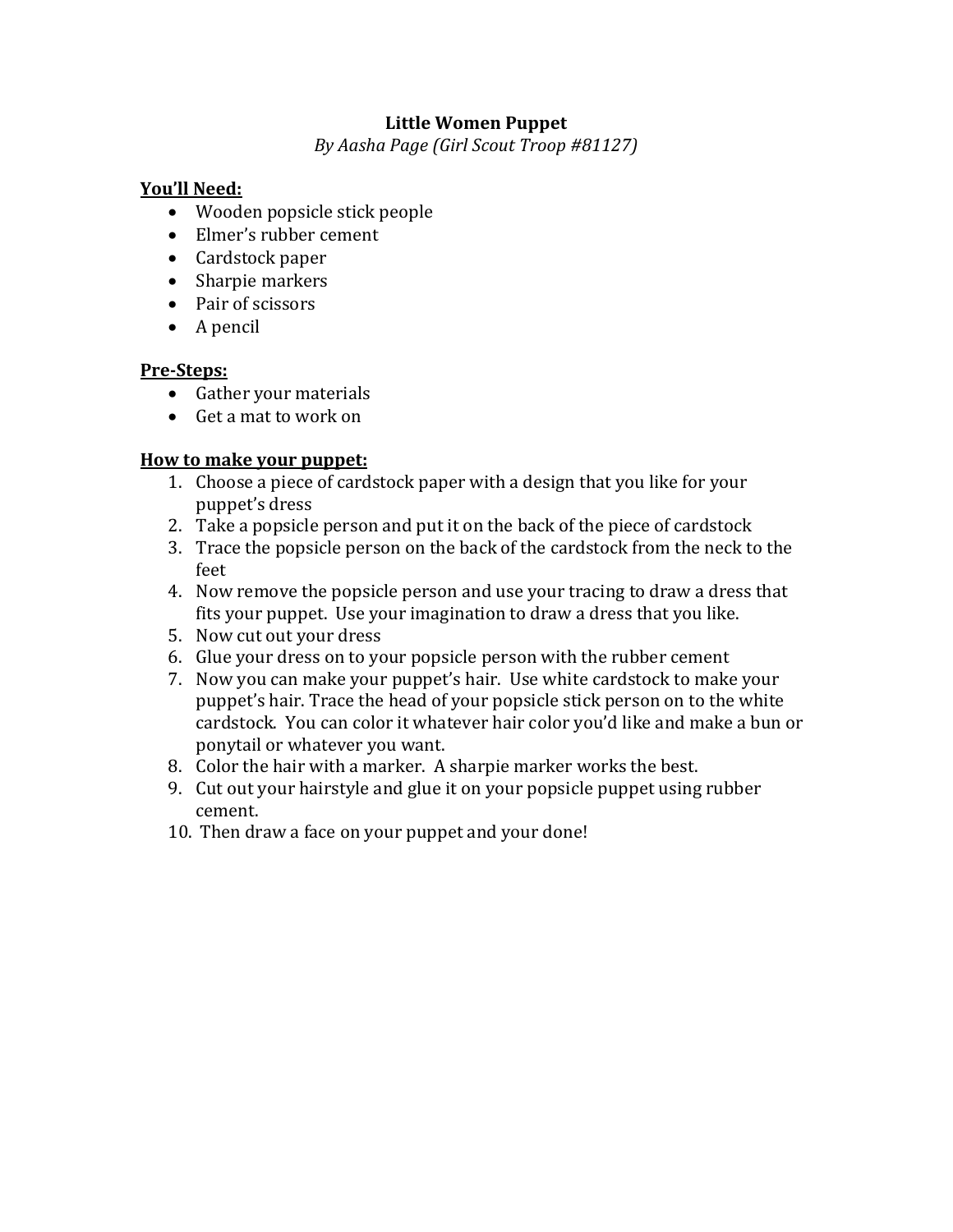### **Little Women Puppet**

*By Aasha Page (Girl Scout Troop #81127)*

### **You'll Need:**

- Wooden popsicle stick people
- Elmer's rubber cement
- Cardstock paper
- Sharpie markers
- Pair of scissors
- $\bullet$  A pencil

#### **Pre-Steps:**

- Gather your materials
- Get a mat to work on

### **How to make your puppet:**

- 1. Choose a piece of cardstock paper with a design that you like for your puppet's dress
- 2. Take a popsicle person and put it on the back of the piece of cardstock
- 3. Trace the popsicle person on the back of the cardstock from the neck to the feet
- 4. Now remove the popsicle person and use your tracing to draw a dress that fits your puppet. Use your imagination to draw a dress that you like.
- 5. Now cut out your dress
- 6. Glue your dress on to your popsicle person with the rubber cement
- 7. Now you can make your puppet's hair. Use white cardstock to make your puppet's hair. Trace the head of your popsicle stick person on to the white cardstock. You can color it whatever hair color you'd like and make a bun or ponytail or whatever you want.
- 8. Color the hair with a marker. A sharpie marker works the best.
- 9. Cut out your hairstyle and glue it on your popsicle puppet using rubber cement.
- 10. Then draw a face on your puppet and your done!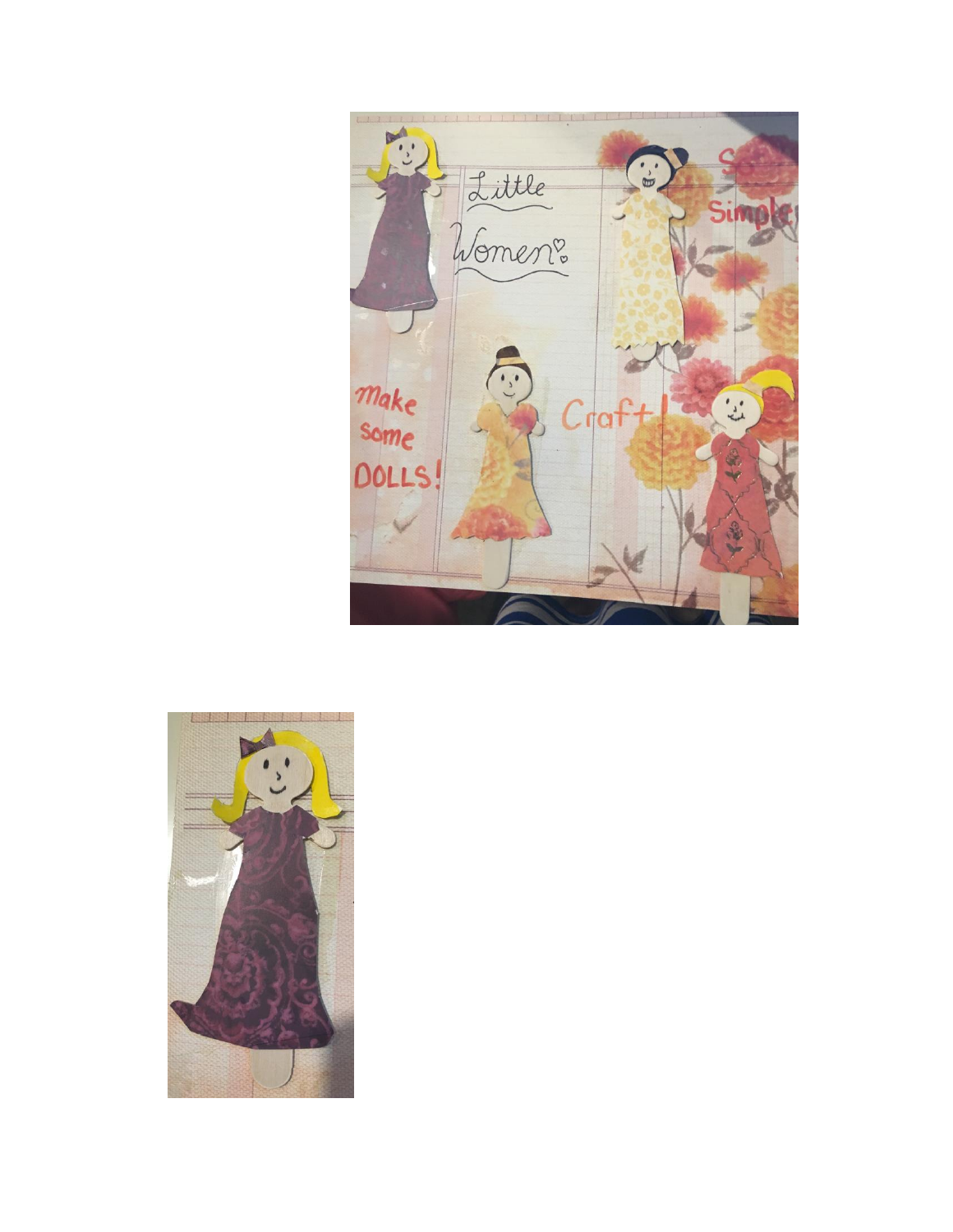

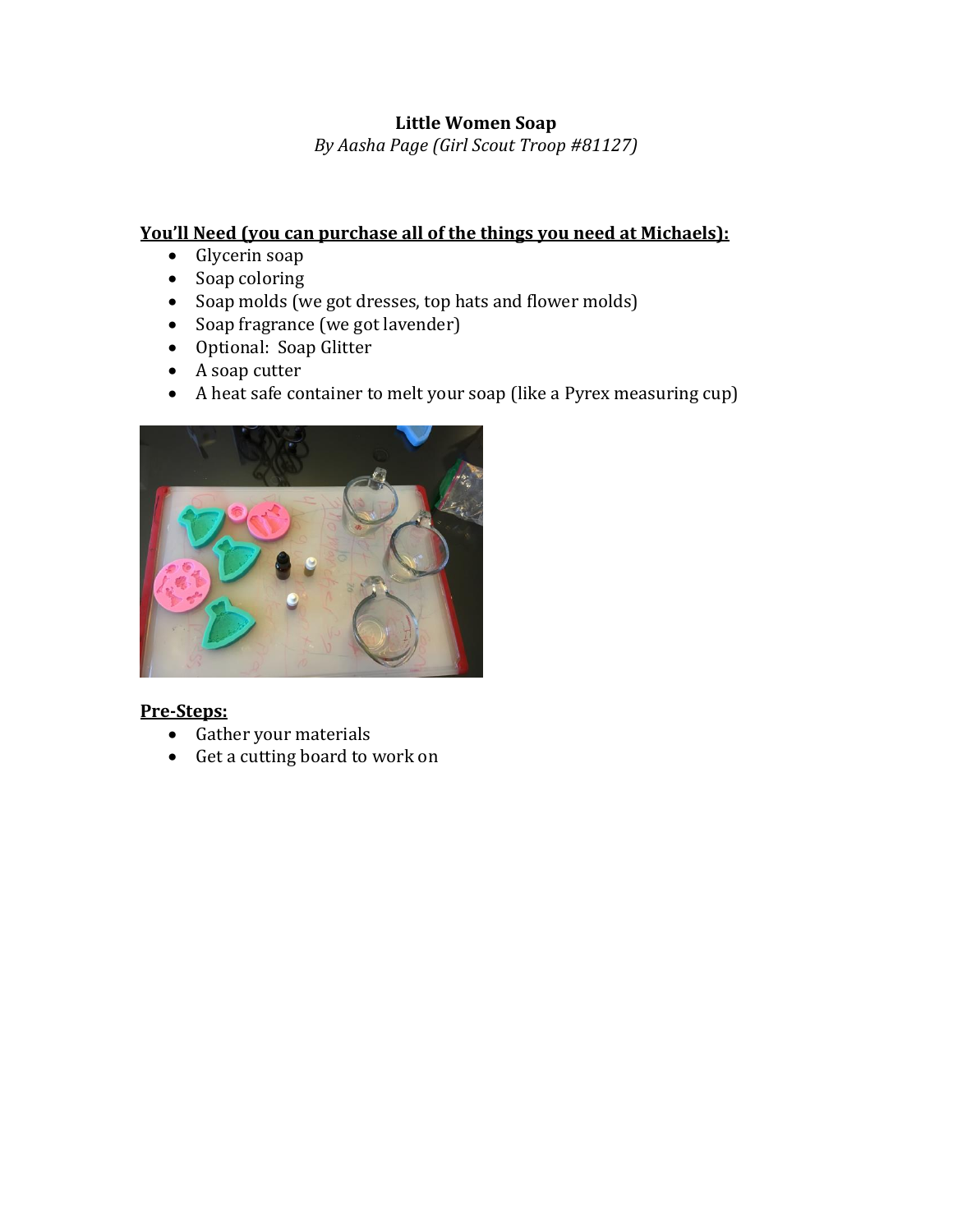# **Little Women Soap**

*By Aasha Page (Girl Scout Troop #81127)*

### **You'll Need (you can purchase all of the things you need at Michaels):**

- Glycerin soap
- Soap coloring
- Soap molds (we got dresses, top hats and flower molds)
- Soap fragrance (we got lavender)
- Optional: Soap Glitter
- A soap cutter
- A heat safe container to melt your soap (like a Pyrex measuring cup)



### **Pre-Steps:**

- Gather your materials
- Get a cutting board to work on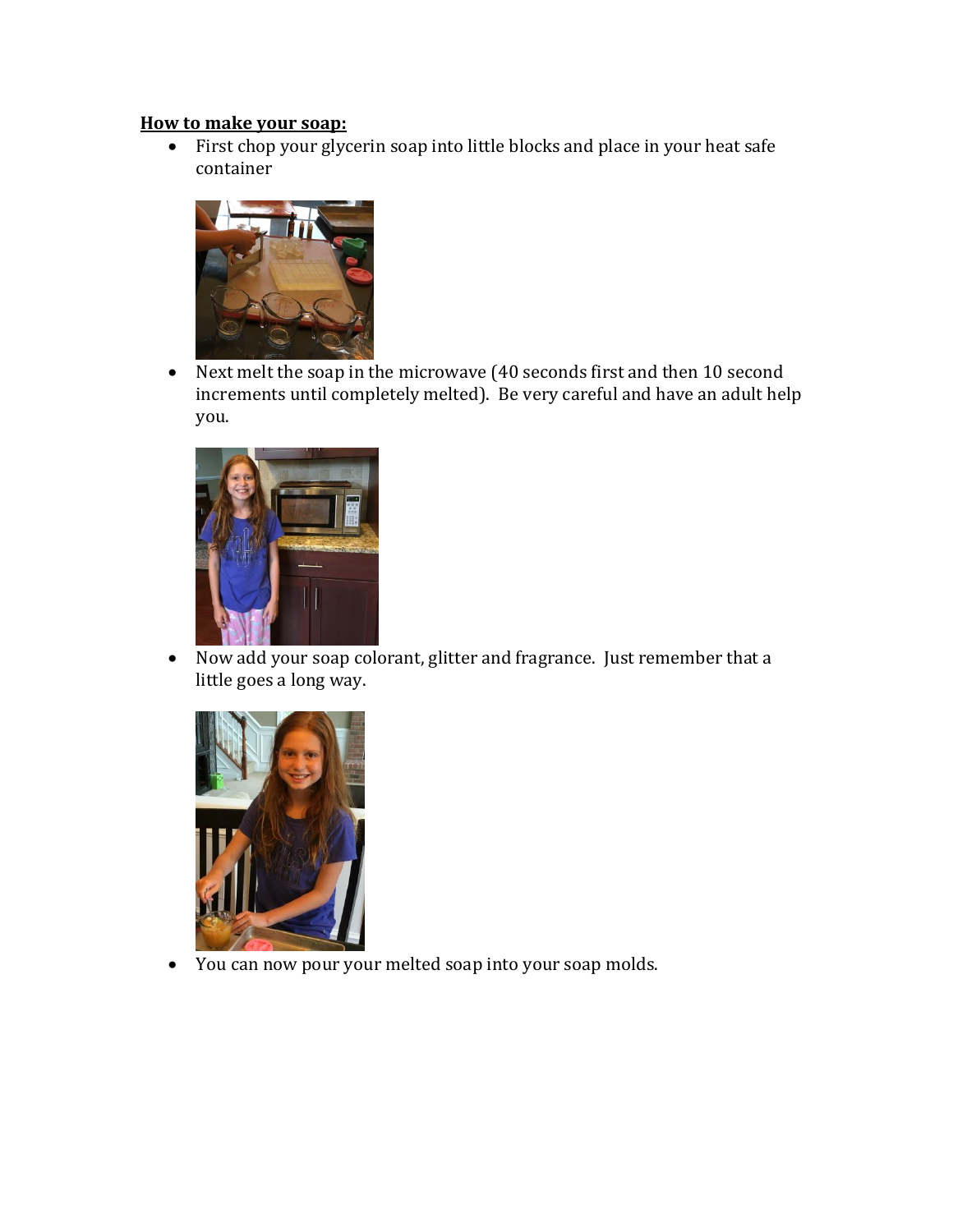# **How to make your soap:**

 First chop your glycerin soap into little blocks and place in your heat safe container



• Next melt the soap in the microwave (40 seconds first and then 10 second increments until completely melted). Be very careful and have an adult help you.



• Now add your soap colorant, glitter and fragrance. Just remember that a little goes a long way.



You can now pour your melted soap into your soap molds.